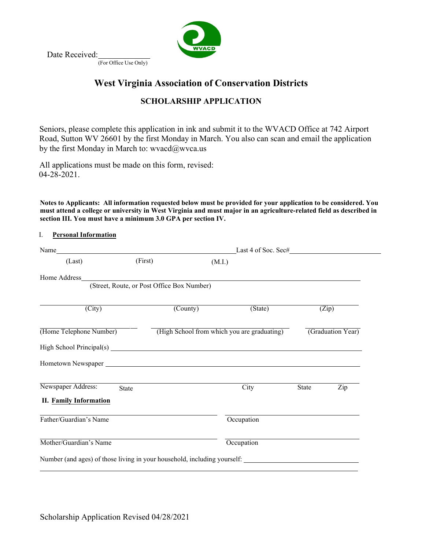

Date Received:

(For Office Use Only)

# **West Virginia Association of Conservation Districts**

# **SCHOLARSHIP APPLICATION**

Seniors, please complete this application in ink and submit it to the WVACD Office at 742 Airport Road, Sutton WV 26601 by the first Monday in March. You also can scan and email the application by the first Monday in M[arch to: wvacd@wv](mailto:wvacd@wvca.us)ca.us

All applications must be made on this form, revised: 04-28-2021.

Notes to Applicants: All information requested below must be provided for your application to be considered. You **must attend a college or university in West Virginia and must major in an agriculture-related field as described in section III. You must have a minimum 3.0 GPA per section IV.**

# I. **Personal Information**

|                                                                          |                                            | Last 4 of Soc. Sec#                         |            |                   |     |  |  |
|--------------------------------------------------------------------------|--------------------------------------------|---------------------------------------------|------------|-------------------|-----|--|--|
| (Last)                                                                   | (First)                                    | (M.I.)                                      |            |                   |     |  |  |
| Home Address                                                             | (Street, Route, or Post Office Box Number) |                                             |            |                   |     |  |  |
|                                                                          |                                            |                                             |            |                   |     |  |  |
| $\overline{(City)}$                                                      | (County)                                   |                                             | (State)    | (Zip)             |     |  |  |
| (Home Telephone Number)                                                  |                                            | (High School from which you are graduating) |            | (Graduation Year) |     |  |  |
|                                                                          |                                            |                                             |            |                   |     |  |  |
|                                                                          |                                            |                                             |            |                   |     |  |  |
| Newspaper Address:<br>State<br>II. Family Information                    |                                            |                                             | City       | State             | Zip |  |  |
| Father/Guardian's Name                                                   |                                            |                                             | Occupation |                   |     |  |  |
| Mother/Guardian's Name                                                   |                                            |                                             | Occupation |                   |     |  |  |
| Number (and ages) of those living in your household, including yourself: |                                            |                                             |            |                   |     |  |  |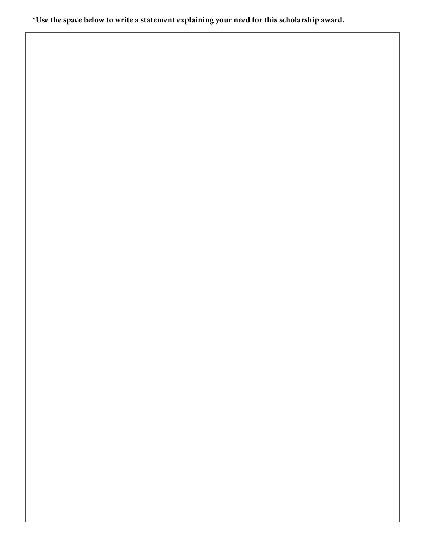**\*Use the space below to write a statement explaining your need for this scholarship award.**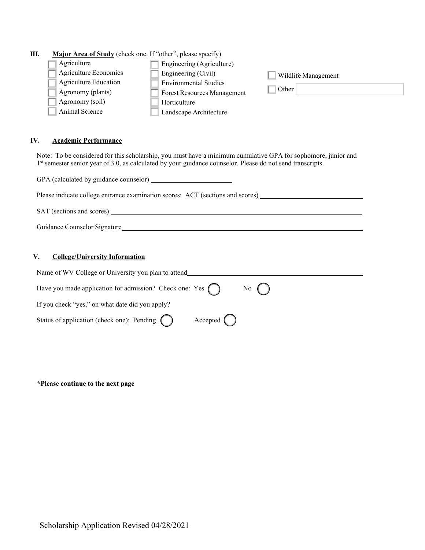# **III. Major Area of Study** (check one. If "other", please specify)

| Agriculture                  | Engineering (Agriculture)    |                            |
|------------------------------|------------------------------|----------------------------|
| Agriculture Economics        | Engineering (Civil)          | <b>Wildlife Management</b> |
| <b>Agriculture Education</b> | <b>Environmental Studies</b> |                            |
| Agronomy (plants)            | Forest Resources Management  | Other                      |
| Agronomy (soil)              | Horticulture                 |                            |
| Animal Science               | Landscape Architecture       |                            |

## **IV. Academic Performance**

Note: To be considered for this scholarship, you must have a minimum cumulative GPA for sophomore, junior and 1<sup>st</sup> semester senior year of 3.0, as calculated by your guidance counselor. Please do not send transcripts.

| GPA (calculated by guidance counselor)                                                                                                                                                                                        |
|-------------------------------------------------------------------------------------------------------------------------------------------------------------------------------------------------------------------------------|
| Please indicate college entrance examination scores: ACT (sections and scores)                                                                                                                                                |
| SAT (sections and scores)                                                                                                                                                                                                     |
| Guidance Counselor Signature and the contract of the contract of the contract of the contract of the contract of the contract of the contract of the contract of the contract of the contract of the contract of the contract |
|                                                                                                                                                                                                                               |
| V.<br><b>College/University Information</b>                                                                                                                                                                                   |

| Name of WV College or University you plan to attend                                           |
|-----------------------------------------------------------------------------------------------|
| Have you made application for admission? Check one: Yes $\bigcap$<br>$\mathbb{N}^{\circ}$ ( ) |
| If you check "yes," on what date did you apply?                                               |
| Status of application (check one): Pending $\bigcirc$                                         |

### **\*Please continue to the next page**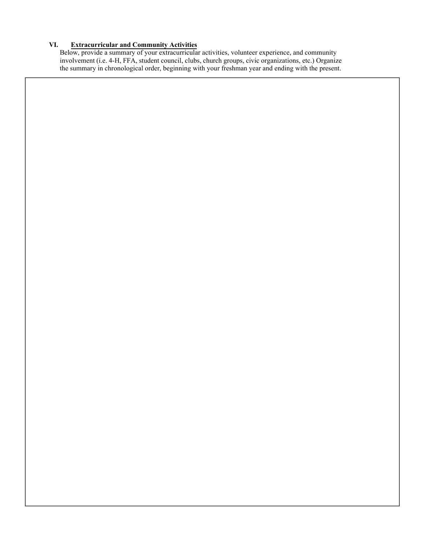### **VI. Extracurricular and Community Activities**

Below, provide a summary of your extracurricular activities, volunteer experience, and community involvement (i.e. 4-H, FFA, student council, clubs, church groups, civic organizations, etc.) Organize the summary in chronological order, beginning with your freshman year and ending with the present.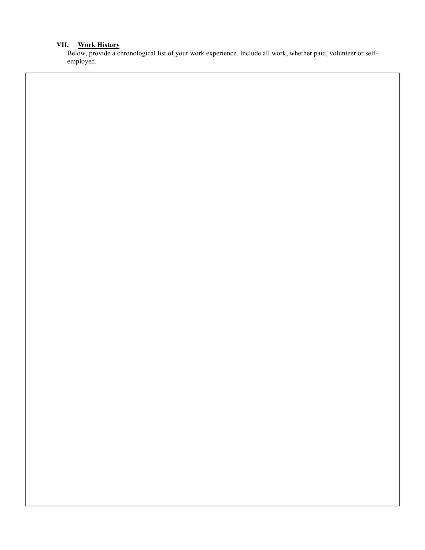#### **Work History VII.**

Below, provide a chronological list of your work experience. Include all work, whether paid, volunteer or selfemployed.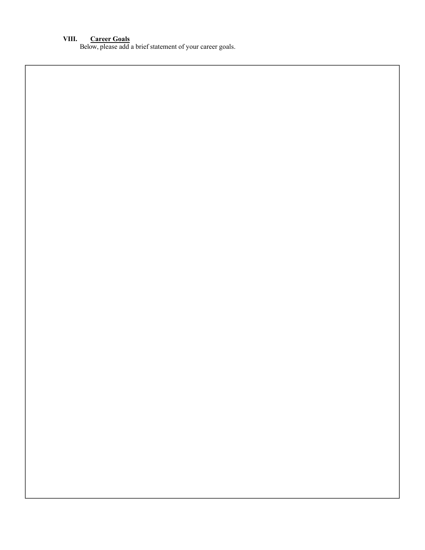## **VIII. Career Goals**

Below, please add a brief statement of your career goals.